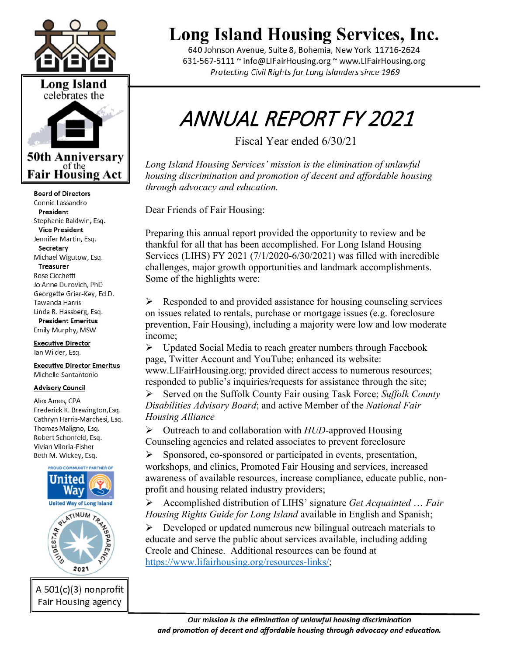



of the **Fair Housing Act** 

**Board of Directors** Connie Lassandro President Stephanie Baldwin, Esq. **Vice President** Jennifer Martin, Esg. Secretary Michael Wigutow, Esq. Treasurer Rose Cicchetti Jo Anne Durovich, PhD Georgette Grier-Kev, Ed.D. Tawanda Harris Linda R. Hassberg, Esq. **President Emeritus** 

Emily Murphy, MSW

**Executive Director** Ian Wilder, Esq.

**Executive Director Emeritus** Michelle Santantonio

#### **Advisory Council**

Alex Ames, CPA Frederick K. Brewington, Esq. Cathryn Harris-Marchesi, Esq. Thomas Maligno, Esq. Robert Schonfeld, Esq. Vivian Viloria-Fisher Beth M. Wickey, Esq.



## **Long Island Housing Services, Inc.**

640 Johnson Avenue, Suite 8, Bohemia, New York 11716-2624 631-567-5111 ~ info@LIFairHousing.org ~ www.LIFairHousing.org Protecting Civil Rights for Long Islanders since 1969

# ANNUAL REPORT FY 2021

Fiscal Year ended 6/30/21

*Long Island Housing Services' mission is the elimination of unlawful housing discrimination and promotion of decent and affordable housing through advocacy and education.* 

Dear Friends of Fair Housing:

Preparing this annual report provided the opportunity to review and be thankful for all that has been accomplished. For Long Island Housing Services (LIHS) FY 2021 (7/1/2020-6/30/2021) was filled with incredible challenges, major growth opportunities and landmark accomplishments. Some of the highlights were:

 $\triangleright$  Responded to and provided assistance for housing counseling services on issues related to rentals, purchase or mortgage issues (e.g. foreclosure prevention, Fair Housing), including a majority were low and low moderate income;

 $\triangleright$  Updated Social Media to reach greater numbers through Facebook page, Twitter Account and YouTube; enhanced its website: www.LIFairHousing.org; provided direct access to numerous resources; responded to public's inquiries/requests for assistance through the site;

 Served on the Suffolk County Fair ousing Task Force; *Suffolk County Disabilities Advisory Board*; and active Member of the *National Fair Housing Alliance*

 Outreach to and collaboration with *HUD*-approved Housing Counseling agencies and related associates to prevent foreclosure

 $\triangleright$  Sponsored, co-sponsored or participated in events, presentation, workshops, and clinics, Promoted Fair Housing and services, increased awareness of available resources, increase compliance, educate public, nonprofit and housing related industry providers;

 Accomplished distribution of LIHS' signature *Get Acquainted* … *Fair Housing Rights Guide for Long Island* available in English and Spanish;

 $\triangleright$  Developed or updated numerous new bilingual outreach materials to educate and serve the public about services available, including adding Creole and Chinese. Additional resources can be found at [https://www.lifairhousing.org/resources-links/;](https://www.lifairhousing.org/resources-links/)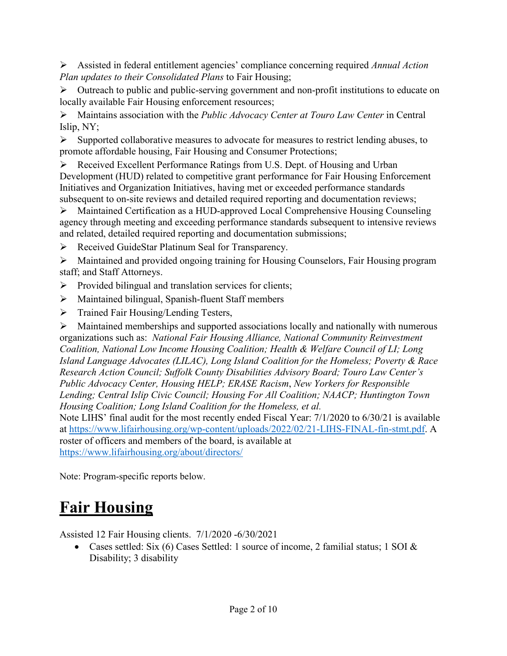Assisted in federal entitlement agencies' compliance concerning required *Annual Action Plan updates to their Consolidated Plans* to Fair Housing;

 Outreach to public and public-serving government and non-profit institutions to educate on locally available Fair Housing enforcement resources;

 Maintains association with the *Public Advocacy Center at Touro Law Center* in Central Islip, NY;

 $\triangleright$  Supported collaborative measures to advocate for measures to restrict lending abuses, to promote affordable housing, Fair Housing and Consumer Protections;

 $\triangleright$  Received Excellent Performance Ratings from U.S. Dept. of Housing and Urban Development (HUD) related to competitive grant performance for Fair Housing Enforcement Initiatives and Organization Initiatives, having met or exceeded performance standards subsequent to on-site reviews and detailed required reporting and documentation reviews;

 Maintained Certification as a HUD-approved Local Comprehensive Housing Counseling agency through meeting and exceeding performance standards subsequent to intensive reviews and related, detailed required reporting and documentation submissions;

▶ Received GuideStar Platinum Seal for Transparency.

 Maintained and provided ongoing training for Housing Counselors, Fair Housing program staff; and Staff Attorneys.

- $\triangleright$  Provided bilingual and translation services for clients;
- Maintained bilingual, Spanish-fluent Staff members
- > Trained Fair Housing/Lending Testers,

 $\triangleright$  Maintained memberships and supported associations locally and nationally with numerous organizations such as: *National Fair Housing Alliance, National Community Reinvestment Coalition, National Low Income Housing Coalition; Health & Welfare Council of LI; Long Island Language Advocates (LILAC), Long Island Coalition for the Homeless; Poverty & Race Research Action Council; Suffolk County Disabilities Advisory Board; Touro Law Center's Public Advocacy Center, Housing HELP; ERASE Racism*, *New Yorkers for Responsible Lending; Central Islip Civic Council; Housing For All Coalition; NAACP; Huntington Town Housing Coalition; Long Island Coalition for the Homeless, et al.*

Note LIHS' final audit for the most recently ended Fiscal Year: 7/1/2020 to 6/30/21 is available at [https://www.lifairhousing.org/wp-content/uploads/2022/02/21-LIHS-FINAL-fin-stmt.pdf.](https://www.lifairhousing.org/wp-content/uploads/2022/02/21-LIHS-FINAL-fin-stmt.pdf) A roster of officers and members of the board, is available at <https://www.lifairhousing.org/about/directors/>

Note: Program-specific reports below.

### **Fair Housing**

Assisted 12 Fair Housing clients. 7/1/2020 -6/30/2021

• Cases settled: Six (6) Cases Settled: 1 source of income, 2 familial status; 1 SOI & Disability; 3 disability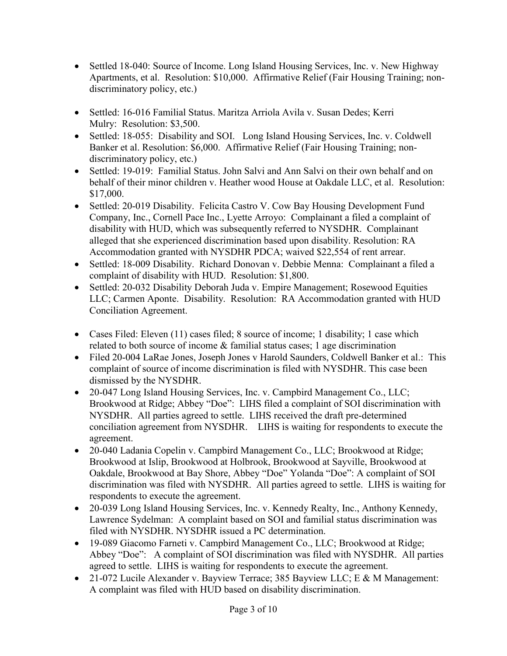- Settled 18-040: Source of Income. Long Island Housing Services, Inc. v. New Highway Apartments, et al. Resolution: \$10,000. Affirmative Relief (Fair Housing Training; nondiscriminatory policy, etc.)
- Settled: 16-016 Familial Status. Maritza Arriola Avila v. Susan Dedes; Kerri Mulry: Resolution: \$3,500.
- Settled: 18-055: Disability and SOI. Long Island Housing Services, Inc. v. Coldwell Banker et al. Resolution: \$6,000. Affirmative Relief (Fair Housing Training; nondiscriminatory policy, etc.)
- Settled: 19-019: Familial Status. John Salvi and Ann Salvi on their own behalf and on behalf of their minor children v. Heather wood House at Oakdale LLC, et al. Resolution: \$17,000.
- Settled: 20-019 Disability. Felicita Castro V. Cow Bay Housing Development Fund Company, Inc., Cornell Pace Inc., Lyette Arroyo: Complainant a filed a complaint of disability with HUD, which was subsequently referred to NYSDHR. Complainant alleged that she experienced discrimination based upon disability. Resolution: RA Accommodation granted with NYSDHR PDCA; waived \$22,554 of rent arrear.
- Settled: 18-009 Disability. Richard Donovan v. Debbie Menna: Complainant a filed a complaint of disability with HUD. Resolution: \$1,800.
- Settled: 20-032 Disability Deborah Juda v. Empire Management; Rosewood Equities LLC; Carmen Aponte. Disability. Resolution: RA Accommodation granted with HUD Conciliation Agreement.
- Cases Filed: Eleven (11) cases filed; 8 source of income; 1 disability; 1 case which related to both source of income & familial status cases; 1 age discrimination
- Filed 20-004 LaRae Jones, Joseph Jones v Harold Saunders, Coldwell Banker et al.: This complaint of source of income discrimination is filed with NYSDHR. This case been dismissed by the NYSDHR.
- 20-047 Long Island Housing Services, Inc. v. Campbird Management Co., LLC; Brookwood at Ridge; Abbey "Doe": LIHS filed a complaint of SOI discrimination with NYSDHR. All parties agreed to settle. LIHS received the draft pre-determined conciliation agreement from NYSDHR. LIHS is waiting for respondents to execute the agreement.
- 20-040 Ladania Copelin v. Campbird Management Co., LLC; Brookwood at Ridge; Brookwood at Islip, Brookwood at Holbrook, Brookwood at Sayville, Brookwood at Oakdale, Brookwood at Bay Shore, Abbey "Doe" Yolanda "Doe": A complaint of SOI discrimination was filed with NYSDHR. All parties agreed to settle. LIHS is waiting for respondents to execute the agreement.
- 20-039 Long Island Housing Services, Inc. v. Kennedy Realty, Inc., Anthony Kennedy, Lawrence Sydelman: A complaint based on SOI and familial status discrimination was filed with NYSDHR. NYSDHR issued a PC determination.
- 19-089 Giacomo Farneti v. Campbird Management Co., LLC; Brookwood at Ridge; Abbey "Doe": A complaint of SOI discrimination was filed with NYSDHR. All parties agreed to settle. LIHS is waiting for respondents to execute the agreement.
- 21-072 Lucile Alexander v. Bayview Terrace; 385 Bayview LLC; E & M Management: A complaint was filed with HUD based on disability discrimination.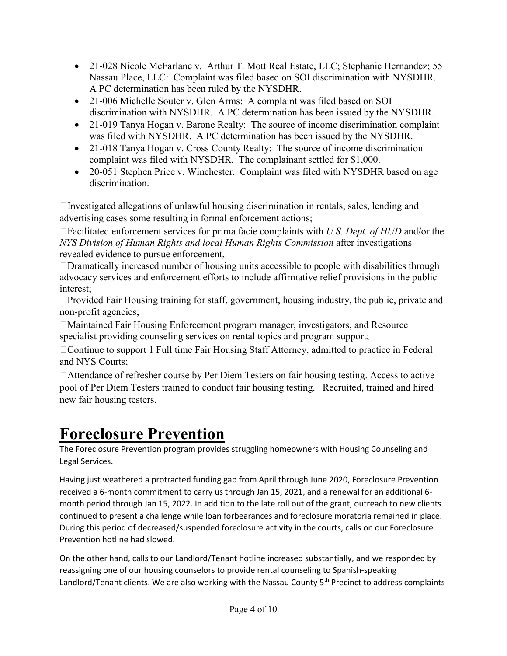- 21-028 Nicole McFarlane v. Arthur T. Mott Real Estate, LLC; Stephanie Hernandez; 55 Nassau Place, LLC: Complaint was filed based on SOI discrimination with NYSDHR. A PC determination has been ruled by the NYSDHR.
- 21-006 Michelle Souter v. Glen Arms: A complaint was filed based on SOI discrimination with NYSDHR. A PC determination has been issued by the NYSDHR.
- 21-019 Tanya Hogan v. Barone Realty: The source of income discrimination complaint was filed with NYSDHR. A PC determination has been issued by the NYSDHR.
- 21-018 Tanya Hogan v. Cross County Realty: The source of income discrimination complaint was filed with NYSDHR. The complainant settled for \$1,000.
- 20-051 Stephen Price v. Winchester. Complaint was filed with NYSDHR based on age discrimination.

 $\Box$ Investigated allegations of unlawful housing discrimination in rentals, sales, lending and advertising cases some resulting in formal enforcement actions;

Facilitated enforcement services for prima facie complaints with *U.S. Dept. of HUD* and/or the *NYS Division of Human Rights and local Human Rights Commission* after investigations revealed evidence to pursue enforcement,

 $\Box$ Dramatically increased number of housing units accessible to people with disabilities through advocacy services and enforcement efforts to include affirmative relief provisions in the public interest;

 $\Box$ Provided Fair Housing training for staff, government, housing industry, the public, private and non-profit agencies;

 $\Box$ Maintained Fair Housing Enforcement program manager, investigators, and Resource specialist providing counseling services on rental topics and program support;

□ Continue to support 1 Full time Fair Housing Staff Attorney, admitted to practice in Federal and NYS Courts;

Attendance of refresher course by Per Diem Testers on fair housing testing. Access to active pool of Per Diem Testers trained to conduct fair housing testing. Recruited, trained and hired new fair housing testers.

### **Foreclosure Prevention**

The Foreclosure Prevention program provides struggling homeowners with Housing Counseling and Legal Services.

Having just weathered a protracted funding gap from April through June 2020, Foreclosure Prevention received a 6-month commitment to carry us through Jan 15, 2021, and a renewal for an additional 6 month period through Jan 15, 2022. In addition to the late roll out of the grant, outreach to new clients continued to present a challenge while loan forbearances and foreclosure moratoria remained in place. During this period of decreased/suspended foreclosure activity in the courts, calls on our Foreclosure Prevention hotline had slowed.

On the other hand, calls to our Landlord/Tenant hotline increased substantially, and we responded by reassigning one of our housing counselors to provide rental counseling to Spanish-speaking Landlord/Tenant clients. We are also working with the Nassau County 5<sup>th</sup> Precinct to address complaints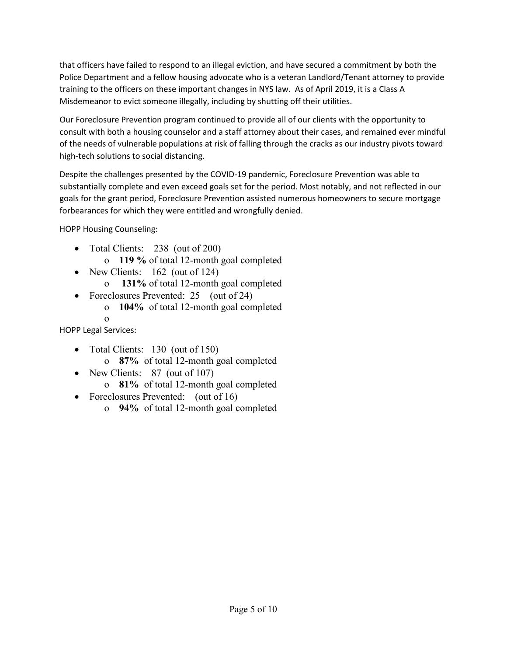that officers have failed to respond to an illegal eviction, and have secured a commitment by both the Police Department and a fellow housing advocate who is a veteran Landlord/Tenant attorney to provide training to the officers on these important changes in NYS law. As of April 2019, it is a Class A Misdemeanor to evict someone illegally, including by shutting off their utilities.

Our Foreclosure Prevention program continued to provide all of our clients with the opportunity to consult with both a housing counselor and a staff attorney about their cases, and remained ever mindful of the needs of vulnerable populations at risk of falling through the cracks as our industry pivots toward high-tech solutions to social distancing.

Despite the challenges presented by the COVID-19 pandemic, Foreclosure Prevention was able to substantially complete and even exceed goals set for the period. Most notably, and not reflected in our goals for the grant period, Foreclosure Prevention assisted numerous homeowners to secure mortgage forbearances for which they were entitled and wrongfully denied.

HOPP Housing Counseling:

- Total Clients: 238 (out of 200)
	- o **119 %** of total 12-month goal completed
- New Clients: 162 (out of 124)
	- o **131%** of total 12-month goal completed
- Foreclosures Prevented: 25 (out of 24)
	- o **104%** of total 12-month goal completed o

HOPP Legal Services:

- Total Clients: 130 (out of 150)
	- o **87%** of total 12-month goal completed
- New Clients: 87 (out of 107)
	- o **81%** of total 12-month goal completed
- Foreclosures Prevented: (out of 16)
	- o **94%** of total 12-month goal completed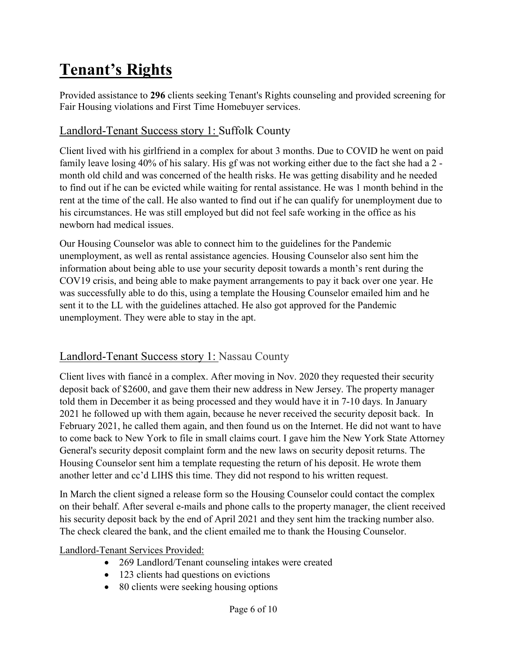### **Tenant's Rights**

Provided assistance to **296** clients seeking Tenant's Rights counseling and provided screening for Fair Housing violations and First Time Homebuyer services.

#### Landlord-Tenant Success story 1: Suffolk County

Client lived with his girlfriend in a complex for about 3 months. Due to COVID he went on paid family leave losing 40% of his salary. His gf was not working either due to the fact she had a 2 month old child and was concerned of the health risks. He was getting disability and he needed to find out if he can be evicted while waiting for rental assistance. He was 1 month behind in the rent at the time of the call. He also wanted to find out if he can qualify for unemployment due to his circumstances. He was still employed but did not feel safe working in the office as his newborn had medical issues.

Our Housing Counselor was able to connect him to the guidelines for the Pandemic unemployment, as well as rental assistance agencies. Housing Counselor also sent him the information about being able to use your security deposit towards a month's rent during the COV19 crisis, and being able to make payment arrangements to pay it back over one year. He was successfully able to do this, using a template the Housing Counselor emailed him and he sent it to the LL with the guidelines attached. He also got approved for the Pandemic unemployment. They were able to stay in the apt.

### Landlord-Tenant Success story 1: Nassau County

Client lives with fiancé in a complex. After moving in Nov. 2020 they requested their security deposit back of \$2600, and gave them their new address in New Jersey. The property manager told them in December it as being processed and they would have it in 7-10 days. In January 2021 he followed up with them again, because he never received the security deposit back. In February 2021, he called them again, and then found us on the Internet. He did not want to have to come back to New York to file in small claims court. I gave him the New York State Attorney General's security deposit complaint form and the new laws on security deposit returns. The Housing Counselor sent him a template requesting the return of his deposit. He wrote them another letter and cc'd LIHS this time. They did not respond to his written request.

In March the client signed a release form so the Housing Counselor could contact the complex on their behalf. After several e-mails and phone calls to the property manager, the client received his security deposit back by the end of April 2021 and they sent him the tracking number also. The check cleared the bank, and the client emailed me to thank the Housing Counselor.

#### Landlord-Tenant Services Provided:

- 269 Landlord/Tenant counseling intakes were created
- 123 clients had questions on evictions
- 80 clients were seeking housing options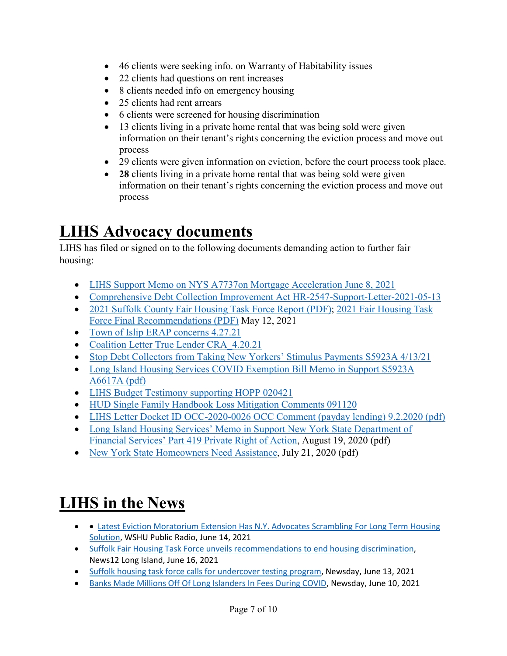- 46 clients were seeking info. on Warranty of Habitability issues
- 22 clients had questions on rent increases
- 8 clients needed info on emergency housing
- 25 clients had rent arrears
- 6 clients were screened for housing discrimination
- 13 clients living in a private home rental that was being sold were given information on their tenant's rights concerning the eviction process and move out process
- 29 clients were given information on eviction, before the court process took place.
- **28** clients living in a private home rental that was being sold were given information on their tenant's rights concerning the eviction process and move out process

### **LIHS Advocacy documents**

LIHS has filed or signed on to the following documents demanding action to further fair housing:

- [LIHS Support Memo on NYS A7737on Mortgage Acceleration June 8, 2021](https://www.lifairhousing.org/wp-content/uploads/2021/06/LIHS-Support-Memo-on-NYS-A7737on-Mortgage-Acceleration-June-8-2021.pdf)
- [Comprehensive Debt Collection Improvement Act HR-2547-Support-Letter-2021-05-13](https://www.lifairhousing.org/wp-content/uploads/2021/05/Coalition-HR-2547-Support-Letter-2021-05-13.pdf)
- [2021 Suffolk County Fair Housing Task Force Report \(PDF\);](https://scnylegislature.us/DocumentCenter/View/78262/2021-Suffolk-County-Fair-Housing-Task-Force-Report-PDF) 2021 Fair Housing Task [Force Final Recommendations \(PDF\)](https://scnylegislature.us/DocumentCenter/View/78622/2021-Fair-Housing-Task-Force-Final-Recommendations-PDF) May 12, 2021
- [Town of Islip ERAP concerns 4.27.21](https://www.lifairhousing.org/wp-content/uploads/2021/04/Town-of-Islip-ERAP-concerns-4.27.21.pdf)
- Coalition Letter True Lender CRA 4.20.21
- [Stop Debt Collectors from Taking New Yorkers' Stimulus Payments S5923A 4/13/21](https://docs.google.com/forms/d/e/1FAIpQLSfvxn7hd7h7BVFfcAeWWfiln7dze16EjFuwONlxQkuyqdYiKw/viewform?fbzx=-1343814896102265924)
- [Long Island Housing Services COVID Exemption Bill Memo in Support S5923A](https://www.lifairhousing.org/wp-content/uploads/2021/03/LIHS-COVID-Exemption-Bill-Memo-in-Support-S5923A-A6617A.pdf)  [A6617A \(pdf\)](https://www.lifairhousing.org/wp-content/uploads/2021/03/LIHS-COVID-Exemption-Bill-Memo-in-Support-S5923A-A6617A.pdf)
- [LIHS Budget Testimony supporting HOPP 020421](https://www.lifairhousing.org/wp-content/uploads/2021/02/LIHS-Budget-Testimony-supporting-HOPP-020421.pdf)
- [HUD Single Family Handbook Loss Mitigation Comments 091120](https://www.lifairhousing.org/wp-content/uploads/2020/09/HUD-Single-Family-Handbook-Loss-Mitigation-Comments-091120.pdf)
- [LIHS Letter Docket ID OCC-2020-0026 OCC Comment \(payday lending\) 9.2.2020 \(pdf\)](https://www.lifairhousing.org/wp-content/uploads/2020/09/LIHS-Ltr-Docket-ID-OCC-2020-0026-OCC-Comment-9.2.2020.pdf)
- Long Island Housing Services' Memo in Support New York State Department of [Financial Services' Part 419 Private Right of Action,](https://www.lifairhousing.org/wp-content/uploads/2020/08/LIHS-Memo-in-Support-Part-419-Private-Right-of-Action.pdf) August 19, 2020 (pdf)
- [New York State Homeowners Need Assistance,](https://www.lifairhousing.org/wp-content/uploads/2020/07/New-York-State-Homeowners-Need-Assistance.pdf) July 21, 2020 (pdf)

### **LIHS in the News**

- Latest Eviction Moratorium Extension Has N.Y. Advocates Scrambling For Long Term Housing [Solution,](https://www.wshu.org/post/latest-eviction-moratorium-extension-has-ny-advocates-scrambling-long-term-housing-solution#stream/0) WSHU Public Radio, June 14, 2021
- [Suffolk Fair Housing Task Force unveils recommendations to end housing discrimination,](https://longisland.news12.com/suffolk-fair-housing-task-force-unveils-recommendations-to-end-housing-discrimination) News12 Long Island, June 16, 2021
- [Suffolk housing task force calls for undercover testing program,](https://www.newsday.com/long-island/suffolk/suffolk-fair-housing-discrimination-long-island-divided-1.50275574) Newsday, June 13, 2021
- [Banks Made Millions Off Of Long Islanders In Fees During COVID,](https://www.wshu.org/post/banks-made-millions-long-islanders-fees-during-covid#stream/0) Newsday, June 10, 2021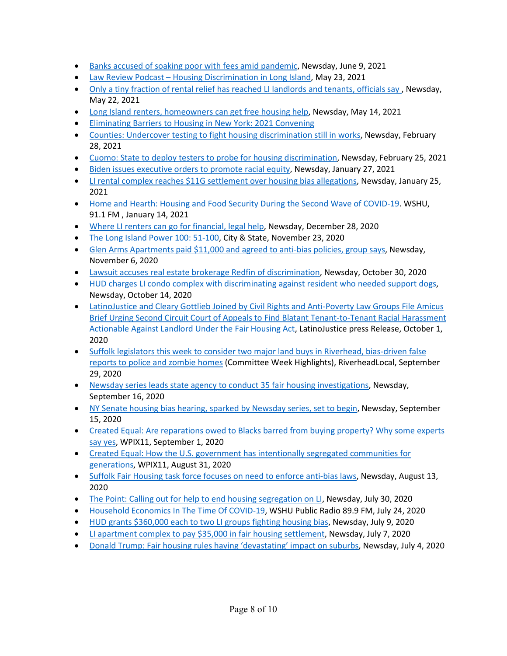- Banks accused of soaking poor with [fees amid pandemic,](https://www.newsday.com/long-island/banks-fees-coronavirus-poor-1.50273094) Newsday, June 9, 2021
- [Law Review Podcast Housing Discrimination in Long Island,](https://tourolaw.yuja.com/V/Video?v=3032333&node=10381698&a=953022831&autoplay=1) May 23, 2021
- [Only a tiny fraction of rental relief has reached LI landlords and tenants, officials say ,](https://www.newsday.com/business/rent-relief-tenants-landlords-cares-act-erap-1.50253813) Newsday, May 22, 2021
- [Long Island renters, homeowners can get free housing help,](https://www.newsday.com/business/housing-counseling-mortgage-forbearance-rental-utility-grants-1.50246868) Newsday, May 14, 2021
- [Eliminating Barriers to Housing in New York: 2021 Convening](https://enterprisecommunity.zoom.us/rec/play/S_-kvzKdja1gUWClqiwcqd4k-9SD5Ce12zaUH1iA7JUstzEp8AzjfDn_k_iDi9GNsIPGJy3CJ6_lYJiP.twQ6Z2U-lcFJv0qj?startTime=1618410419000)
- [Counties: Undercover testing to fight housing discrimination still in works,](https://www.newsday.com/long-island/long-island-divided-follow-1.50165187) Newsday, February 28, 2021
- [Cuomo: State to deploy testers to probe for](https://www.newsday.com/news/region-state/cuomo-long-island-divided-housing-discrimination-1.50165235) housing discrimination, Newsday, February 25, 2021
- Biden issues executive [orders to promote racial equity,](https://www.newsday.com/news/nation/biden-racial-equity-housing-voting-rights-1.50131872) Newsday, January 27, 2021
- [LI rental complex reaches \\$11G settlement over housing bias allegations,](https://www.newsday.com/business/housing-discrimination-disabilities-bay-shore-1.50128557?fbclid=IwAR2J_fl45xJawIF6uWR1ArqbifTNhV9Lm7W-eOX4HpeBHyhccOXqxw2myxs) Newsday, January 25, 2021
- [Home and Hearth: Housing and Food Security During the Second Wave of COVID-19.](https://www.wshu.org/post/home-and-hearth-housing-and-food-security-during-second-wave-covid-19) WSHU, 91.1 FM , January 14, 2021
- [Where LI renters can go for financial, legal help,](https://www.newsday.com/business/coronavirus/renters-help-financial-assistance-1.48682999) Newsday, December 28, 2020
- [The Long Island Power 100: 51-100,](https://www.cityandstateny.com/articles/power-list/power-100/2020-long-island-power-100-51-100.html) City & State, November 23, 2020
- [Glen Arms Apartments paid \\$11,000 and agreed to anti-bias policies, group](https://www.newsday.com/business/housing-discrimination-disability-settlement-apartment-1.50058924?utm_source=appshare) says, Newsday, November 6, 2020
- [Lawsuit accuses real estate brokerage Redfin of discrimination,](https://www.newsday.com/business/housing-discrimination-lawsuit-redfin-1.50051723?utm_source=appshare) Newsday, October 30, 2020
- HUD charges LI condo complex with discriminating [against resident who needed support dogs,](https://www.newsday.com/business/pinewood-estates-fairfield-emotional-support-animal-1.50036488?utm_source=appshare) Newsday, October 14, 2020
- [LatinoJustice and Cleary Gottlieb Joined by Civil Rights and Anti-Poverty Law Groups File Amicus](https://www.latinojustice.org/en/news/latinojustice-and-cleary-gottlieb-joined-civil-rights-and-anti-poverty-law-groups-file-amicus)  [Brief Urging Second Circuit Court of Appeals to Find Blatant Tenant-to-Tenant Racial Harassment](https://www.latinojustice.org/en/news/latinojustice-and-cleary-gottlieb-joined-civil-rights-and-anti-poverty-law-groups-file-amicus)  [Actionable Against Landlord Under the Fair Housing Act,](https://www.latinojustice.org/en/news/latinojustice-and-cleary-gottlieb-joined-civil-rights-and-anti-poverty-law-groups-file-amicus) LatinoJustice press Release, October 1, 2020
- [Suffolk legislators this week to consider two major land buys in Riverhead, bias-driven false](https://riverheadlocal.com/2020/09/29/suffolk-legislators-this-week-to-consider-two-major-land-buys-in-riverhead-bias-driven-false-reports-to-police-and-zombie-homes/)  [reports to police and zombie homes](https://riverheadlocal.com/2020/09/29/suffolk-legislators-this-week-to-consider-two-major-land-buys-in-riverhead-bias-driven-false-reports-to-police-and-zombie-homes/) (Committee Week Highlights), RiverheadLocal, September 29, 2020
- [Newsday series leads state agency to conduct 35 fair housing investigations,](https://www.newsday.com/business/long-island-divided-fair-housing-investigation-1.49400556) Newsday, September 16, 2020
- [NY Senate housing bias hearing, sparked by Newsday series, set to begin,](https://www.newsday.com/business/housing-discrimination-state-senate-hearing-estate-1.49366497) Newsday, September 15, 2020
- Created Equal: Are reparations owed to Blacks barred from buying property? Why some experts [say yes,](https://www.pix11.com/news/created-equal/created-equal-are-reparations-owed-to-blacks-barred-from-buying-property-why-some-experts-say-yes) WPIX11, September 1, 2020
- [Created Equal: How the U.S. government has intentionally segregated communities for](https://www.pix11.com/news/created-equal/created-equal-how-the-u-s-government-has-intentionally-segregated-communities-for-generations)  [generations,](https://www.pix11.com/news/created-equal/created-equal-how-the-u-s-government-has-intentionally-segregated-communities-for-generations) WPIX11, August 31, 2020
- Suffolk Fair Housing task force [focuses on need to enforce anti-bias laws,](https://www.newsday.com/business/housing-discrimination-long-island-suffolk-task-force-1.48059998) Newsday, August 13, 2020
- [The Point: Calling out for help to end housing segregation on LI,](https://www.newsday.com/opinion/newsday-opinion-the-point-newsletter-1.47529399) Newsday, July 30, 2020
- [Household Economics In The Time Of COVID-19,](https://www.wshu.org/post/household-economics-time-covid-19?fbclid=IwAR3uOOOk130eEuPXojmsg0WIWpGr7q89NL-e3YydPFSuNPdtUh4nSkW5Sbk#stream/0) WSHU Public Radio 89.9 FM, July 24, 2020
- [HUD grants \\$360,000 each to two LI groups fighting housing bias,](https://www.newsday.com/business/housing-bias-grants-hud-1.46563659) Newsday, July 9, 2020
- [LI apartment complex to pay \\$35,000 in fair housing settlement,](https://www.newsday.com/business/farmingdale-villas-fair-housing-settlement-1.46499700) Newsday, July 7, 2020
- [Donald Trump: Fair housing rules having 'devastating' impact on suburbs,](https://www.newsday.com/news/nation/trump-housing-long-island-divided-hud-1.46344417) Newsday, July 4, 2020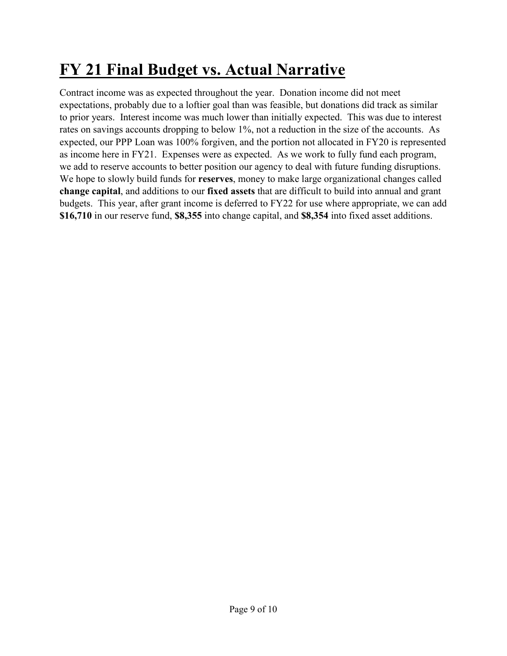### **FY 21 Final Budget vs. Actual Narrative**

Contract income was as expected throughout the year. Donation income did not meet expectations, probably due to a loftier goal than was feasible, but donations did track as similar to prior years. Interest income was much lower than initially expected. This was due to interest rates on savings accounts dropping to below 1%, not a reduction in the size of the accounts. As expected, our PPP Loan was 100% forgiven, and the portion not allocated in FY20 is represented as income here in FY21. Expenses were as expected. As we work to fully fund each program, we add to reserve accounts to better position our agency to deal with future funding disruptions. We hope to slowly build funds for **reserves**, money to make large organizational changes called **change capital**, and additions to our **fixed assets** that are difficult to build into annual and grant budgets. This year, after grant income is deferred to FY22 for use where appropriate, we can add **\$16,710** in our reserve fund, **\$8,355** into change capital, and **\$8,354** into fixed asset additions.